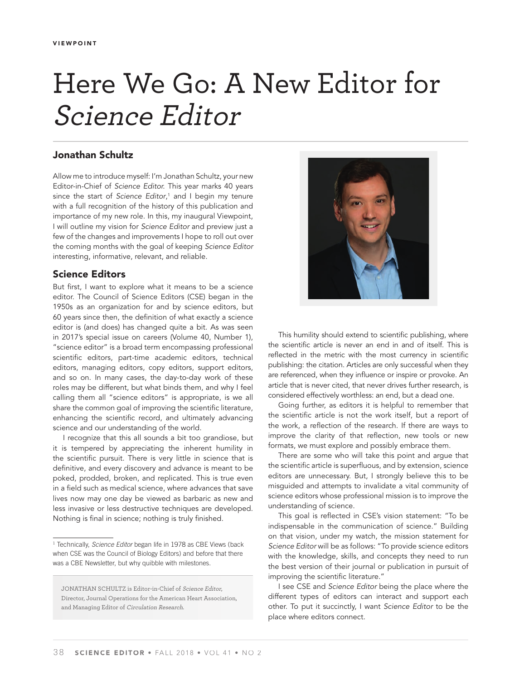# Here We Go: A New Editor for Science Editor

# **Jonathan Schultz**

Allow me to introduce myself: I'm Jonathan Schultz, your new Editor-in-Chief of Science Editor. This year marks 40 years since the start of Science Editor,<sup>1</sup> and I begin my tenure with a full recognition of the history of this publication and importance of my new role. In this, my inaugural Viewpoint, I will outline my vision for Science Editor and preview just a few of the changes and improvements I hope to roll out over the coming months with the goal of keeping Science Editor interesting, informative, relevant, and reliable.

### **Science Editors**

But first, I want to explore what it means to be a science editor. The Council of Science Editors (CSE) began in the 1950s as an organization for and by science editors, but 60 years since then, the definition of what exactly a science editor is (and does) has changed quite a bit. As was seen in 2017's special issue on careers (Volume 40, Number 1), "science editor" is a broad term encompassing professional scientific editors, part-time academic editors, technical editors, managing editors, copy editors, support editors, and so on. In many cases, the day-to-day work of these roles may be different, but what binds them, and why I feel calling them all "science editors" is appropriate, is we all share the common goal of improving the scientific literature, enhancing the scientific record, and ultimately advancing science and our understanding of the world.

I recognize that this all sounds a bit too grandiose, but it is tempered by appreciating the inherent humility in the scientific pursuit. There is very little in science that is definitive, and every discovery and advance is meant to be poked, prodded, broken, and replicated. This is true even in a field such as medical science, where advances that save lives now may one day be viewed as barbaric as new and less invasive or less destructive techniques are developed. Nothing is final in science; nothing is truly finished.



This humility should extend to scientific publishing, where the scientific article is never an end in and of itself. This is reflected in the metric with the most currency in scientific publishing: the citation. Articles are only successful when they are referenced, when they influence or inspire or provoke. An article that is never cited, that never drives further research, is considered effectively worthless: an end, but a dead one.

Going further, as editors it is helpful to remember that the scientific article is not the work itself, but a report of the work, a reflection of the research. If there are ways to improve the clarity of that reflection, new tools or new formats, we must explore and possibly embrace them.

There are some who will take this point and argue that the scientific article is superfluous, and by extension, science editors are unnecessary. But, I strongly believe this to be misguided and attempts to invalidate a vital community of science editors whose professional mission is to improve the understanding of science.

This goal is reflected in CSE's vision statement: "To be indispensable in the communication of science." Building on that vision, under my watch, the mission statement for Science Editor will be as follows: "To provide science editors with the knowledge, skills, and concepts they need to run the best version of their journal or publication in pursuit of improving the scientific literature."

I see CSE and Science Editor being the place where the different types of editors can interact and support each other. To put it succinctly, I want Science Editor to be the place where editors connect.

<sup>&</sup>lt;sup>1</sup> Technically, *Science Editor* began life in 1978 as CBE Views (back when CSE was the Council of Biology Editors) and before that there was a CBE Newsletter, but why quibble with milestones.

JONATHAN SCHULTZ is Editor-in-Chief of Science Editor, Director, Journal Operations for the American Heart Association, and Managing Editor of Circulation Research.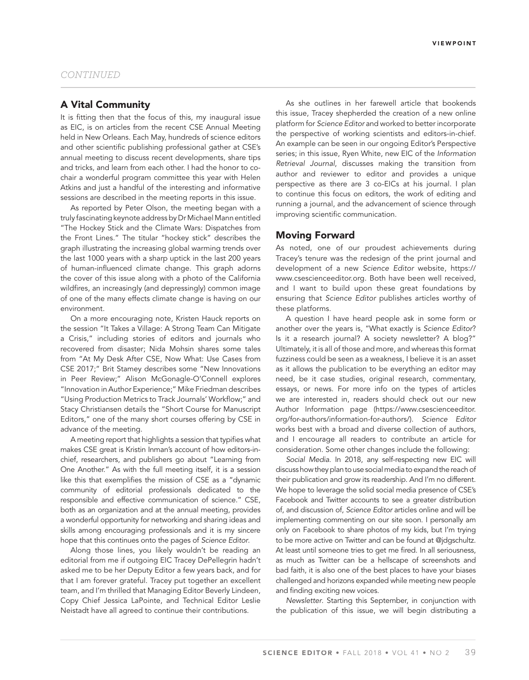### **A Vital Community**

It is fitting then that the focus of this, my inaugural issue as EIC, is on articles from the recent CSE Annual Meeting held in New Orleans. Each May, hundreds of science editors and other scientific publishing professional gather at CSE's annual meeting to discuss recent developments, share tips and tricks, and learn from each other. I had the honor to cochair a wonderful program committee this year with Helen Atkins and just a handful of the interesting and informative sessions are described in the meeting reports in this issue.

As reported by Peter Olson, the meeting began with a truly fascinating keynote address by Dr Michael Mann entitled "The Hockey Stick and the Climate Wars: Dispatches from the Front Lines." The titular "hockey stick" describes the graph illustrating the increasing global warming trends over the last 1000 years with a sharp uptick in the last 200 years of human-influenced climate change. This graph adorns the cover of this issue along with a photo of the California wildfires, an increasingly (and depressingly) common image of one of the many effects climate change is having on our environment.

On a more encouraging note, Kristen Hauck reports on the session "It Takes a Village: A Strong Team Can Mitigate a Crisis," including stories of editors and journals who recovered from disaster; Nida Mohsin shares some tales from "At My Desk After CSE, Now What: Use Cases from CSE 2017;" Brit Stamey describes some "New Innovations in Peer Review;" Alison McGonagle-O'Connell explores "Innovation in Author Experience;" Mike Friedman describes "Using Production Metrics to Track Journals' Workflow;" and Stacy Christiansen details the "Short Course for Manuscript Editors," one of the many short courses offering by CSE in advance of the meeting.

A meeting report that highlights a session that typifies what makes CSE great is Kristin Inman's account of how editors-inchief, researchers, and publishers go about "Learning from One Another." As with the full meeting itself, it is a session like this that exemplifies the mission of CSE as a "dynamic community of editorial professionals dedicated to the responsible and effective communication of science." CSE, both as an organization and at the annual meeting, provides a wonderful opportunity for networking and sharing ideas and skills among encouraging professionals and it is my sincere hope that this continues onto the pages of Science Editor.

Along those lines, you likely wouldn't be reading an editorial from me if outgoing EIC Tracey DePellegrin hadn't asked me to be her Deputy Editor a few years back, and for that I am forever grateful. Tracey put together an excellent team, and I'm thrilled that Managing Editor Beverly Lindeen, Copy Chief Jessica LaPointe, and Technical Editor Leslie Neistadt have all agreed to continue their contributions.

As she outlines in her farewell article that bookends this issue, Tracey shepherded the creation of a new online platform for Science Editor and worked to better incorporate the perspective of working scientists and editors-in-chief. An example can be seen in our ongoing Editor's Perspective series; in this issue, Ryen White, new EIC of the Information Retrieval Journal, discusses making the transition from author and reviewer to editor and provides a unique perspective as there are 3 co-EICs at his journal. I plan to continue this focus on editors, the work of editing and running a journal, and the advancement of science through improving scientific communication.

#### **Moving Forward**

As noted, one of our proudest achievements during Tracey's tenure was the redesign of the print journal and development of a new Science Editor website, https:// www.csescienceeditor.org. Both have been well received, and I want to build upon these great foundations by ensuring that Science Editor publishes articles worthy of these platforms.

A question I have heard people ask in some form or another over the years is, "What exactly is Science Editor? Is it a research journal? A society newsletter? A blog?" Ultimately, it is all of those and more, and whereas this format fuzziness could be seen as a weakness, I believe it is an asset as it allows the publication to be everything an editor may need, be it case studies, original research, commentary, essays, or news. For more info on the types of articles we are interested in, readers should check out our new Author Information page (https://www.csescienceeditor. org/for-authors/information-for-authors/). Science Editor works best with a broad and diverse collection of authors, and I encourage all readers to contribute an article for consideration. Some other changes include the following:

Social Media. In 2018, any self-respecting new EIC will discuss how they plan to use social media to expand the reach of their publication and grow its readership. And I'm no different. We hope to leverage the solid social media presence of CSE's Facebook and Twitter accounts to see a greater distribution of, and discussion of, Science Editor articles online and will be implementing commenting on our site soon. I personally am only on Facebook to share photos of my kids, but I'm trying to be more active on Twitter and can be found at @jdgschultz. At least until someone tries to get me fired. In all seriousness, as much as Twitter can be a hellscape of screenshots and bad faith, it is also one of the best places to have your biases challenged and horizons expanded while meeting new people and finding exciting new voices.

Newsletter. Starting this September, in conjunction with the publication of this issue, we will begin distributing a